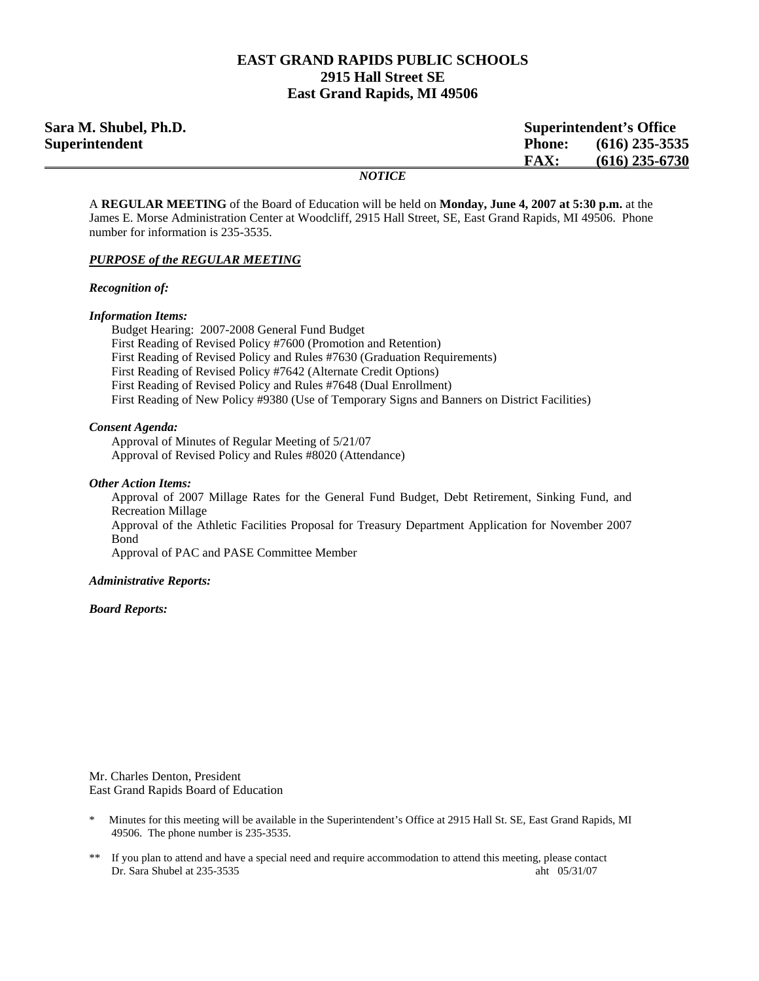## **EAST GRAND RAPIDS PUBLIC SCHOOLS 2915 Hall Street SE East Grand Rapids, MI 49506**

| Sara M. Shubel, Ph.D. |               | <b>Superintendent's Office</b> |                  |
|-----------------------|---------------|--------------------------------|------------------|
| Superintendent        |               | <b>Phone:</b>                  | $(616)$ 235-3535 |
|                       |               | <b>FAX:</b>                    | $(616)$ 235-6730 |
|                       | <i>NOTICE</i> |                                |                  |

A **REGULAR MEETING** of the Board of Education will be held on **Monday, June 4, 2007 at 5:30 p.m.** at the James E. Morse Administration Center at Woodcliff, 2915 Hall Street, SE, East Grand Rapids, MI 49506. Phone number for information is 235-3535.

#### *PURPOSE of the REGULAR MEETING*

*Recognition of:* 

#### *Information Items:*

 Budget Hearing: 2007-2008 General Fund Budget First Reading of Revised Policy #7600 (Promotion and Retention) First Reading of Revised Policy and Rules #7630 (Graduation Requirements) First Reading of Revised Policy #7642 (Alternate Credit Options) First Reading of Revised Policy and Rules #7648 (Dual Enrollment) First Reading of New Policy #9380 (Use of Temporary Signs and Banners on District Facilities)

#### *Consent Agenda:*

 Approval of Minutes of Regular Meeting of 5/21/07 Approval of Revised Policy and Rules #8020 (Attendance)

#### *Other Action Items:*

Approval of 2007 Millage Rates for the General Fund Budget, Debt Retirement, Sinking Fund, and Recreation Millage Approval of the Athletic Facilities Proposal for Treasury Department Application for November 2007 Bond Approval of PAC and PASE Committee Member

#### *Administrative Reports:*

 *Board Reports:* 

Mr. Charles Denton, President East Grand Rapids Board of Education

- \* Minutes for this meeting will be available in the Superintendent's Office at 2915 Hall St. SE, East Grand Rapids, MI 49506. The phone number is 235-3535.
- \*\* If you plan to attend and have a special need and require accommodation to attend this meeting, please contact Dr. Sara Shubel at 235-3535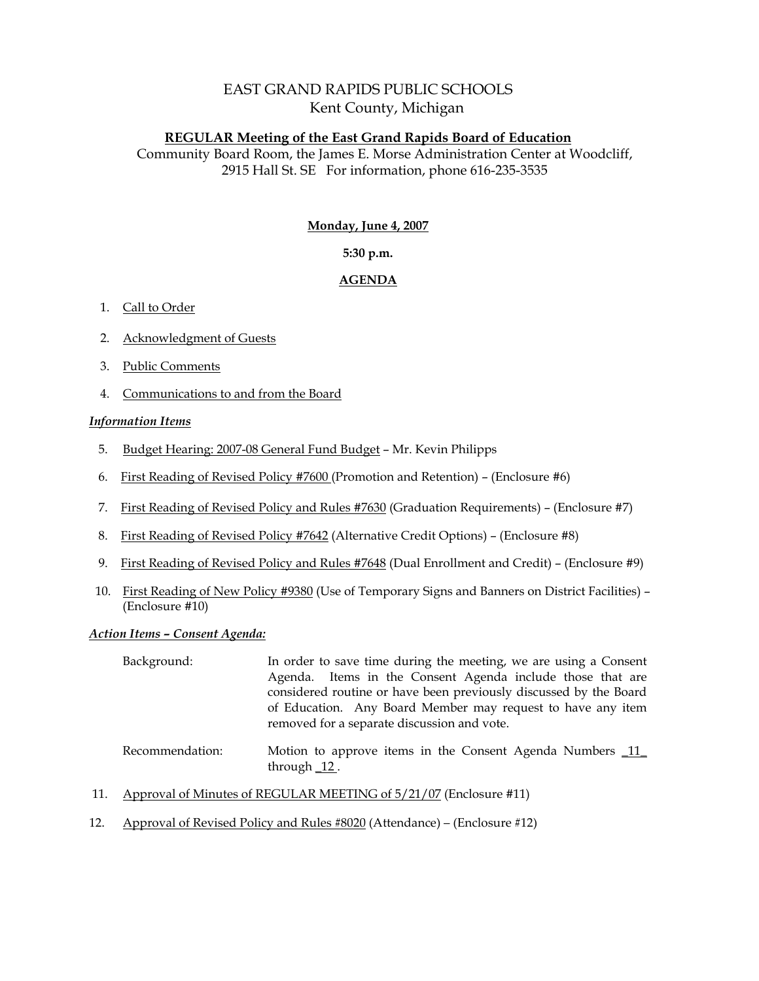# EAST GRAND RAPIDS PUBLIC SCHOOLS Kent County, Michigan

## **REGULAR Meeting of the East Grand Rapids Board of Education**

Community Board Room, the James E. Morse Administration Center at Woodcliff, 2915 Hall St. SE For information, phone 616-235-3535

### **Monday, June 4, 2007**

## **5:30 p.m.**

## **AGENDA**

### 1. Call to Order

- 2. Acknowledgment of Guests
- 3. Public Comments
- 4. Communications to and from the Board

### *Information Items*

- 5. Budget Hearing: 2007-08 General Fund Budget Mr. Kevin Philipps
- 6. First Reading of Revised Policy #7600 (Promotion and Retention) (Enclosure #6)
- 7. First Reading of Revised Policy and Rules #7630 (Graduation Requirements) (Enclosure #7)
- 8. First Reading of Revised Policy #7642 (Alternative Credit Options) (Enclosure #8)
- 9. First Reading of Revised Policy and Rules #7648 (Dual Enrollment and Credit) (Enclosure #9)
- 10. First Reading of New Policy #9380 (Use of Temporary Signs and Banners on District Facilities) (Enclosure #10)

### *Action Items – Consent Agenda:*

| Background:     | In order to save time during the meeting, we are using a Consent<br>Agenda. Items in the Consent Agenda include those that are<br>considered routine or have been previously discussed by the Board<br>of Education. Any Board Member may request to have any item<br>removed for a separate discussion and vote. |
|-----------------|-------------------------------------------------------------------------------------------------------------------------------------------------------------------------------------------------------------------------------------------------------------------------------------------------------------------|
| Recommendation: | Motion to approve items in the Consent Agenda Numbers 11<br>through $\_12$ .                                                                                                                                                                                                                                      |

- 11. Approval of Minutes of REGULAR MEETING of 5/21/07 (Enclosure #11)
- 12. Approval of Revised Policy and Rules #8020 (Attendance) (Enclosure #12)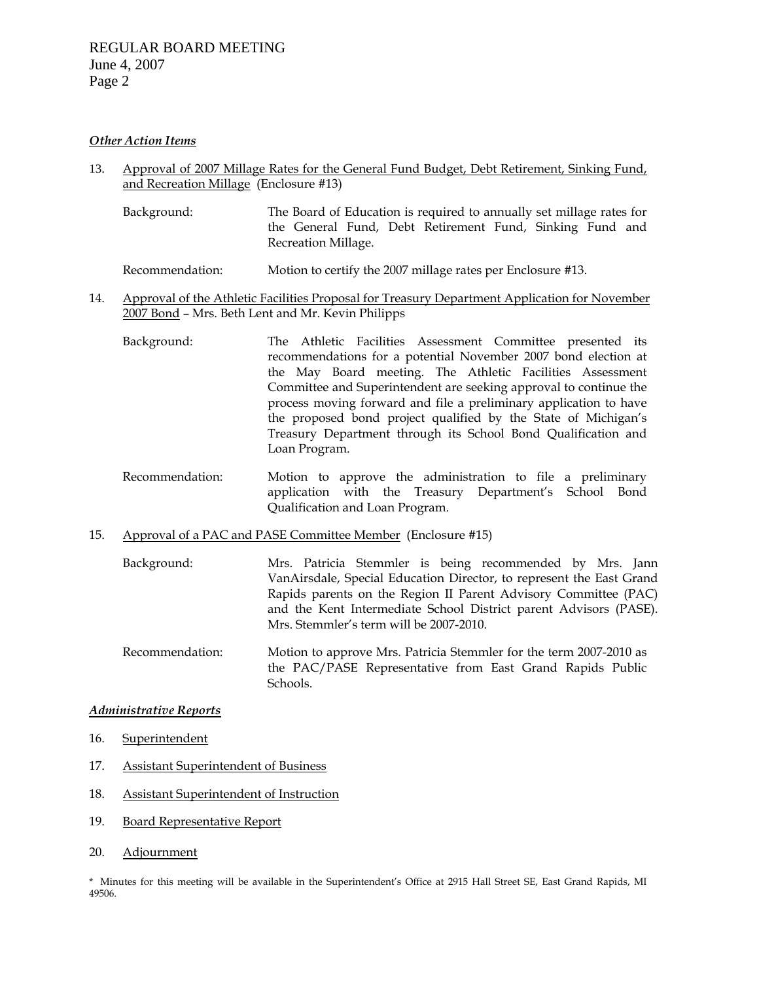### *Other Action Items*

- 13. Approval of 2007 Millage Rates for the General Fund Budget, Debt Retirement, Sinking Fund, and Recreation Millage (Enclosure #13)
	- Background: The Board of Education is required to annually set millage rates for the General Fund, Debt Retirement Fund, Sinking Fund and Recreation Millage.
	- Recommendation: Motion to certify the 2007 millage rates per Enclosure #13.
- 14. Approval of the Athletic Facilities Proposal for Treasury Department Application for November 2007 Bond – Mrs. Beth Lent and Mr. Kevin Philipps
	- Background: The Athletic Facilities Assessment Committee presented its recommendations for a potential November 2007 bond election at the May Board meeting. The Athletic Facilities Assessment Committee and Superintendent are seeking approval to continue the process moving forward and file a preliminary application to have the proposed bond project qualified by the State of Michigan's Treasury Department through its School Bond Qualification and Loan Program.
	- Recommendation: Motion to approve the administration to file a preliminary application with the Treasury Department's School Bond Qualification and Loan Program.
- 15. Approval of a PAC and PASE Committee Member (Enclosure #15)
	- Background: Mrs. Patricia Stemmler is being recommended by Mrs. Jann VanAirsdale, Special Education Director, to represent the East Grand Rapids parents on the Region II Parent Advisory Committee (PAC) and the Kent Intermediate School District parent Advisors (PASE). Mrs. Stemmler's term will be 2007-2010.
	- Recommendation: Motion to approve Mrs. Patricia Stemmler for the term 2007-2010 as the PAC/PASE Representative from East Grand Rapids Public Schools.

### *Administrative Reports*

- 16. Superintendent
- 17. Assistant Superintendent of Business
- 18. Assistant Superintendent of Instruction
- 19. Board Representative Report
- 20. Adjournment

\* Minutes for this meeting will be available in the Superintendent's Office at 2915 Hall Street SE, East Grand Rapids, MI 49506.